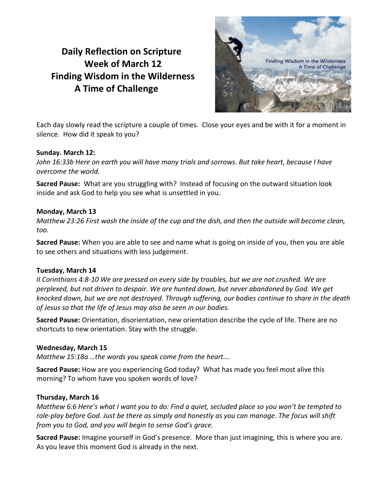# **Daily Reflection on Scripture Week of March 12 Finding Wisdom in the Wilderness A Time of Challenge**



Each day slowly read the scripture a couple of times. Close your eyes and be with it for a moment in silence. How did it speak to you?

# **Sunday. March 12:**

*John 16:33b Here on earth you will have many trials and sorrows. But take heart, because I have overcome the world.*

**Sacred Pause:** What are you struggling with? Instead of focusing on the outward situation look inside and ask God to help you see what is unsettled in you.

### **Monday, March 13**

*Matthew 23:26 First wash the inside of the cup and the dish, and then the outside will become clean, too.*

**Sacred Pause:** When you are able to see and name what is going on inside of you, then you are able to see others and situations with less judgement.

# **Tuesday, March 14**

*II Corinthians 4:8-10 We are pressed on every side by troubles, but we are not crushed. We are perplexed, but not driven to despair. We are hunted down, but never abandoned by God. We get knocked down, but we are not destroyed. Through suffering, our bodies continue to share in the death of Jesus so that the life of Jesus may also be seen in our bodies.*

**Sacred Pause:** Orientation, disorientation, new orientation describe the cycle of life. There are no shortcuts to new orientation. Stay with the struggle.

# **Wednesday, March 15**

*Matthew 15:18a …the words you speak come from the heart….*

**Sacred Pause:** How are you experiencing God today? What has made you feel most alive this morning? To whom have you spoken words of love?

#### **Thursday, March 16**

*Matthew 6:6 Here's what I want you to do: Find a quiet, secluded place so you won't be tempted to role-play before God. Just be there as simply and honestly as you can manage. The focus will shift from you to God, and you will begin to sense God's grace.*

**Sacred Pause:** Imagine yourself in God's presence. More than just imagining, this is where you are. As you leave this moment God is already in the next.